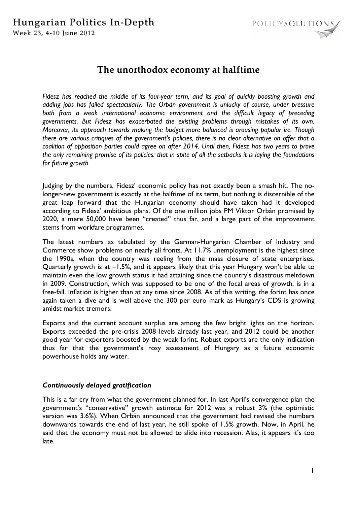# Hungarian Politics In-Depth Week 23, 4-10 June 2012



# **The unorthodox economy at halftime**

*Fidesz has reached the middle of its four-year term, and its goal of quickly boosting growth and adding jobs has failed spectacularly. The Orbán government is unlucky of course, under pressure both from a weak international economic environment and the difficult legacy of preceding governments. But Fidesz has exacerbated the existing problems through mistakes of its own. Moreover, its approach towards making the budget more balanced is arousing popular ire. Though there are various critiques of the government's policies, there is no clear alternative on offer that a coalition of opposition parties could agree on after 2014. Until then, Fidesz has two years to prove the only remaining promise of its policies: that in spite of all the setbacks it is laying the foundations for future growth.* 

Judging by the numbers, Fidesz' economic policy has not exactly been a smash hit. The nolonger-new government is exactly at the halftime of its term, but nothing is discernible of the great leap forward that the Hungarian economy should have taken had it developed according to Fidesz' ambitious plans. Of the one million jobs PM Viktor Orbán promised by 2020, a mere 50,000 have been "created" thus far, and a large part of the improvement stems from workfare programmes.

The latest numbers as tabulated by the German-Hungarian Chamber of Industry and Commerce show problems on nearly all fronts. At 11.7% unemployment is the highest since the 1990s, when the country was reeling from the mass closure of state enterprises. Quarterly growth is at –1.5%, and it appears likely that this year Hungary won't be able to maintain even the low growth status it had attaining since the country's disastrous meltdown in 2009. Construction, which was supposed to be one of the focal areas of growth, is in a free-fall. Inflation is higher than at any time since 2008. As of this writing, the forint has once again taken a dive and is well above the 300 per euro mark as Hungary's CDS is growing amidst market tremors.

Exports and the current account surplus are among the few bright lights on the horizon. Exports exceeded the pre-crisis 2008 levels already last year, and 2012 could be another good year for exporters boosted by the weak forint. Robust exports are the only indication thus far that the government's rosy assessment of Hungary as a future economic powerhouse holds any water.

## *Continuously delayed gratification*

This is a far cry from what the government planned for. In last April's convergence plan the government's "conservative" growth estimate for 2012 was a robust 3% (the optimistic version was 3.6%). When Orbán announced that the government had revised the numbers downwards towards the end of last year, he still spoke of 1.5% growth. Now, in April, he said that the economy must not be allowed to slide into recession. Alas, it appears it's too late.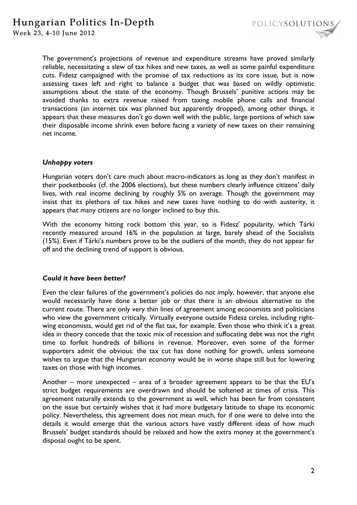

The government's projections of revenue and expenditure streams have proved similarly reliable, necessitating a slew of tax hikes and new taxes, as well as some painful expenditure cuts. Fidesz campaigned with the promise of tax reductions as its core issue, but is now assessing taxes left and right to balance a budget that was based on wildly optimistic assumptions about the state of the economy. Though Brussels' punitive actions may be avoided thanks to extra revenue raised from taxing mobile phone calls and financial transactions (an internet tax was planned but apparently dropped), among other things, it appears that these measures don't go down well with the public, large portions of which saw their disposable income shrink even before facing a variety of new taxes on their remaining net income.

#### *Unhappy voters*

Hungarian voters don't care much about macro-indicators as long as they don't manifest in their pocketbooks (cf. the 2006 elections), but these numbers clearly influence citizens' daily lives, with real income declining by roughly 5% on average. Though the government may insist that its plethora of tax hikes and new taxes have nothing to do with austerity, it appears that many citizens are no longer inclined to buy this.

With the economy hitting rock bottom this year, so is Fidesz' popularity, which Tárki recently measured around 16% in the population at large, barely ahead of the Socialists (15%). Even if Tárki's numbers prove to be the outliers of the month, they do not appear far off and the declining trend of support is obvious.

## *Could it have been better?*

Even the clear failures of the government's policies do not imply, however, that anyone else would necessarily have done a better job or that there is an obvious alternative to the current route. There are only very thin lines of agreement among economists and politicians who view the government critically. Virtually everyone outside Fidesz circles, including rightwing economists, would get rid of the flat tax, for example. Even those who think it's a great idea in theory concede that the toxic mix of recession and suffocating debt was not the right time to forfeit hundreds of billions in revenue. Moreover, even some of the former supporters admit the obvious: the tax cut has done nothing for growth, unless someone wishes to argue that the Hungarian economy would be in worse shape still but for lowering taxes on those with high incomes.

Another – more unexpected – area of a broader agreement appears to be that the EU's strict budget requirements are overdrawn and should be softened at times of crisis. This agreement naturally extends to the government as well, which has been far from consistent on the issue but certainly wishes that it had more budgetary latitude to shape its economic policy. Nevertheless, this agreement does not mean much, for if one were to delve into the details it would emerge that the various actors have vastly different ideas of how much Brussels' budget standards should be relaxed and how the extra money at the government's disposal ought to be spent.